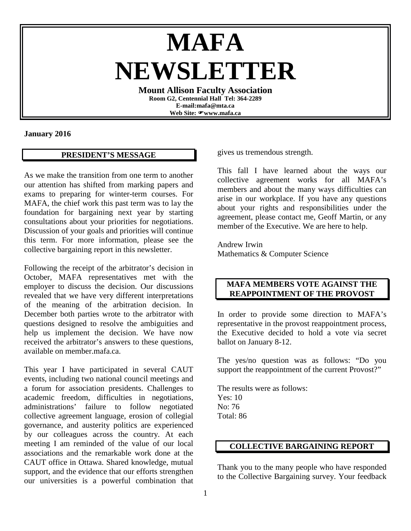# **MAFA NEWSLETTER**

**Mount Allison Faculty Association Room G2, Centennial Hall Tel: 364-2289 E-mail:mafa@mta.ca Web Site: www.mafa.ca** 

#### **January 2016**

### **PRESIDENT'S MESSAGE**

As we make the transition from one term to another our attention has shifted from marking papers and exams to preparing for winter-term courses. For MAFA, the chief work this past term was to lay the foundation for bargaining next year by starting consultations about your priorities for negotiations. Discussion of your goals and priorities will continue this term. For more information, please see the collective bargaining report in this newsletter.

Following the receipt of the arbitrator's decision in October, MAFA representatives met with the employer to discuss the decision. Our discussions revealed that we have very different interpretations of the meaning of the arbitration decision. In December both parties wrote to the arbitrator with questions designed to resolve the ambiguities and help us implement the decision. We have now received the arbitrator's answers to these questions, available on [member.mafa.ca.](http://member.mafa.ca/)

This year I have participated in several CAUT events, including two national council meetings and a forum for association presidents. Challenges to academic freedom, difficulties in negotiations, administrations' failure to follow negotiated collective agreement language, erosion of collegial governance, and austerity politics are experienced by our colleagues across the country. At each meeting I am reminded of the value of our local associations and the remarkable work done at the CAUT office in Ottawa. Shared knowledge, mutual support, and the evidence that our efforts strengthen our universities is a powerful combination that

gives us tremendous strength.

This fall I have learned about the ways our collective agreement works for all MAFA's members and about the many ways difficulties can arise in our workplace. If you have any questions about your rights and responsibilities under the agreement, please contact me, Geoff Martin, or any member of the Executive. We are here to help.

Andrew Irwin Mathematics & Computer Science

### **MAFA MEMBERS VOTE AGAINST THE REAPPOINTMENT OF THE PROVOST**

In order to provide some direction to MAFA's representative in the provost reappointment process, the Executive decided to hold a vote via secret ballot on January 8-12.

The yes/no question was as follows: "Do you support the reappointment of the current Provost?"

The results were as follows: Yes: 10 No: 76 Total: 86

#### **COLLECTIVE BARGAINING REPORT**

Thank you to the many people who have responded to the Collective Bargaining survey. Your feedback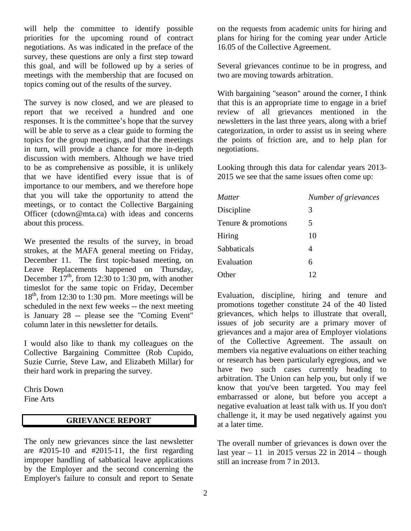will help the committee to identify possible priorities for the upcoming round of contract negotiations. As was indicated in the preface of the survey, these questions are only a first step toward this goal, and will be followed up by a series of meetings with the membership that are focused on topics coming out of the results of the survey.

The survey is now closed, and we are pleased to report that we received a hundred and one responses. It is the committee's hope that the survey will be able to serve as a clear guide to forming the topics for the group meetings, and that the meetings in turn, will provide a chance for more in-depth discussion with members. Although we have tried to be as comprehensive as possible, it is unlikely that we have identified every issue that is of importance to our members, and we therefore hope that you will take the opportunity to attend the meetings, or to contact the Collective Bargaining Officer (cdown@mta.ca) with ideas and concerns about this process.

We presented the results of the survey, in broad strokes, at the MAFA general meeting on Friday, December 11. The first topic-based meeting, on Leave Replacements happened on Thursday, December  $17<sup>th</sup>$ , from 12:30 to 1:30 pm, with another timeslot for the same topic on Friday, December  $18<sup>th</sup>$ , from 12:30 to 1:30 pm. More meetings will be scheduled in the next few weeks -- the next meeting is January 28 -- please see the "Coming Event" column later in this newsletter for details.

I would also like to thank my colleagues on the Collective Bargaining Committee (Rob Cupido, Suzie Currie, Steve Law, and Elizabeth Millar) for their hard work in preparing the survey.

Chris Down Fine Arts

# **GRIEVANCE REPORT**

The only new grievances since the last newsletter are  $\#2015-10$  and  $\#2015-11$ , the first regarding improper handling of sabbatical leave applications by the Employer and the second concerning the Employer's failure to consult and report to Senate

on the requests from academic units for hiring and plans for hiring for the coming year under Article 16.05 of the Collective Agreement.

Several grievances continue to be in progress, and two are moving towards arbitration.

With bargaining "season" around the corner, I think that this is an appropriate time to engage in a brief review of all grievances mentioned in the newsletters in the last three years, along with a brief categorization, in order to assist us in seeing where the points of friction are, and to help plan for negotiations.

Looking through this data for calendar years 2013- 2015 we see that the same issues often come up:

| <b>Matter</b>       | Number of grievances |
|---------------------|----------------------|
| Discipline          | 3                    |
| Tenure & promotions | 5                    |
| Hiring              | 10                   |
| Sabbaticals         | 4                    |
| Evaluation          | 6                    |
| Other               | 12                   |

Evaluation, discipline, hiring and tenure and promotions together constitute 24 of the 40 listed grievances, which helps to illustrate that overall, issues of job security are a primary mover of grievances and a major area of Employer violations of the Collective Agreement. The assault on members via negative evaluations on either teaching or research has been particularly egregious, and we have two such cases currently heading to arbitration. The Union can help you, but only if we know that you've been targeted. You may feel embarrassed or alone, but before you accept a negative evaluation at least talk with us. If you don't challenge it, it may be used negatively against you at a later time.

The overall number of grievances is down over the last year  $-11$  in 2015 versus 22 in 2014 – though still an increase from 7 in 2013.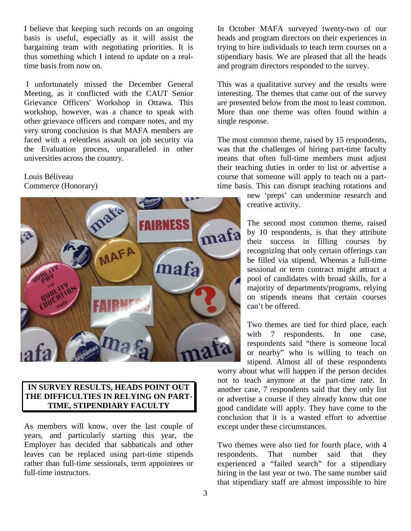I believe that keeping such records on an ongoing basis is useful, especially as it will assist the bargaining team with negotiating priorities. It is thus something which I intend to update on a realtime basis from now on.

I unfortunately missed the December General Meeting, as it conflicted with the CAUT Senior Grievance Officers' Workshop in Ottawa. This workshop, however, was a chance to speak with other grievance officers and compare notes, and my very strong conclusion is that MAFA members are faced with a relentless assault on job security via the Evaluation process, unparalleled in other universities across the country.

# Louis Béliveau Commerce (Honorary)



## **IN SURVEY RESULTS, HEADS POINT OUT THE DIFFICULTIES IN RELYING ON PART-TIME, STIPENDIARY FACULTY**

As members will know, over the last couple of years, and particularly starting this year, the Employer has decided that sabbaticals and other leaves can be replaced using part-time stipends rather than full-time sessionals, term appointees or full-time instructors.

In October MAFA surveyed twenty-two of our heads and program directors on their experiences in trying to hire individuals to teach term courses on a stipendiary basis. We are pleased that all the heads and program directors responded to the survey.

This was a qualitative survey and the results were interesting. The themes that came out of the survey are presented below from the most to least common. More than one theme was often found within a single response.

The most common theme, raised by 15 respondents, was that the challenges of hiring part-time faculty means that often full-time members must adjust their teaching duties in order to list or advertise a course that someone will apply to teach on a parttime basis. This can disrupt teaching rotations and

> new 'preps' can undermine research and creative activity.

The second most common theme, raised by 10 respondents, is that they attribute their success in filling courses by recognizing that only certain offerings can be filled via stipend. Whereas a full-time sessional or term contract might attract a pool of candidates with broad skills, for a majority of departments/programs, relying on stipends means that certain courses can't be offered.

Two themes are tied for third place, each with 7 respondents. In one case, respondents said "there is someone local or nearby" who is willing to teach on stipend. Almost all of these respondents

worry about what will happen if the person decides not to teach anymore at the part-time rate. In another case, 7 respondents said that they only list or advertise a course if they already know that one good candidate will apply. They have come to the conclusion that it is a wasted effort to advertise except under these circumstances.

Two themes were also tied for fourth place, with 4 respondents. That number said that they experienced a "failed search" for a stipendiary hiring in the last year or two. The same number said that stipendiary staff are almost impossible to hire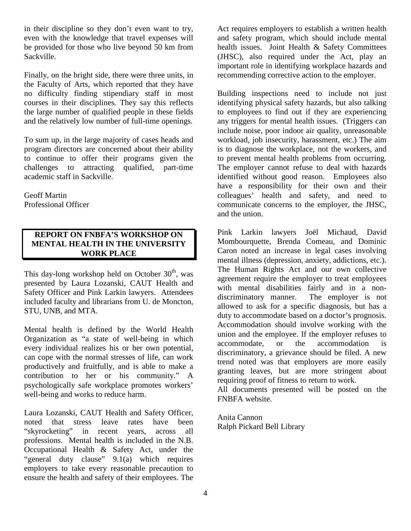in their discipline so they don't even want to try, even with the knowledge that travel expenses will be provided for those who live beyond 50 km from Sackville.

Finally, on the bright side, there were three units, in the Faculty of Arts, which reported that they have no difficulty finding stipendiary staff in most courses in their disciplines. They say this reflects the large number of qualified people in these fields and the relatively low number of full-time openings.

To sum up, in the large majority of cases heads and program directors are concerned about their ability to continue to offer their programs given the challenges to attracting qualified, part-time academic staff in Sackville.

Geoff Martin Professional Officer

# **REPORT ON FNBFA'S WORKSHOP ON MENTAL HEALTH IN THE UNIVERSITY WORK PLACE**

This day-long workshop held on October  $30<sup>th</sup>$ , was presented by Laura Lozanski, CAUT Health and Safety Officer and Pink Larkin lawyers. Attendees included faculty and librarians from U. de Moncton, STU, UNB, and MTA.

Mental health is defined by the World Health Organization as "a state of well-being in which every individual realizes his or her own potential, can cope with the normal stresses of life, can work productively and fruitfully, and is able to make a contribution to her or his community." A psychologically safe workplace promotes workers' well-being and works to reduce harm.

Laura Lozanski, CAUT Health and Safety Officer, noted that stress leave rates have been "skyrocketing" in recent years, across all professions. Mental health is included in the N.B. Occupational Health & Safety Act, under the "general duty clause" 9.1(a) which requires employers to take every reasonable precaution to ensure the health and safety of their employees. The

Act requires employers to establish a written health and safety program, which should include mental health issues. Joint Health & Safety Committees (JHSC), also required under the Act, play an important role in identifying workplace hazards and recommending corrective action to the employer.

Building inspections need to include not just identifying physical safety hazards, but also talking to employees to find out if they are experiencing any triggers for mental health issues. (Triggers can include noise, poor indoor air quality, unreasonable workload, job insecurity, harassment, etc.) The aim is to diagnose the workplace, not the workers, and to prevent mental health problems from occurring. The employer cannot refuse to deal with hazards identified without good reason. Employees also have a responsibility for their own and their colleagues' health and safety, and need to communicate concerns to the employer, the JHSC, and the union.

Pink Larkin lawyers Joël Michaud, David Mombourquette, Brenda Comeau, and Dominic Caron noted an increase in legal cases involving mental illness (depression, anxiety, addictions, etc.). The Human Rights Act and our own collective agreement require the employer to treat employees with mental disabilities fairly and in a nondiscriminatory manner. The employer is not allowed to ask for a specific diagnosis, but has a duty to accommodate based on a doctor's prognosis. Accommodation should involve working with the union and the employee. If the employer refuses to accommodate, or the accommodation is discriminatory, a grievance should be filed. A new trend noted was that employers are more easily granting leaves, but are more stringent about requiring proof of fitness to return to work.

All documents presented will be posted on the FNBFA website.

Anita Cannon Ralph Pickard Bell Library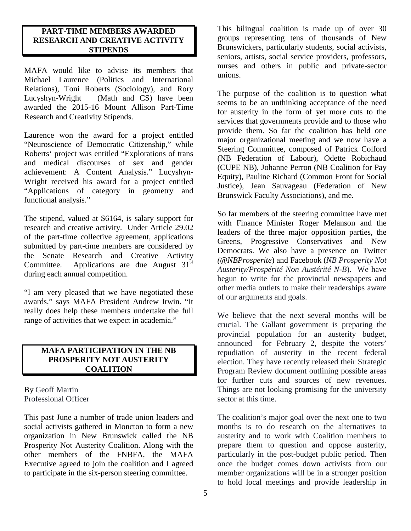#### **PART-TIME MEMBERS AWARDED RESEARCH AND CREATIVE ACTIVITY STIPENDS**

MAFA would like to advise its members that Michael Laurence (Politics and International Relations), Toni Roberts (Sociology), and Rory Lucyshyn-Wright (Math and CS) have been awarded the 2015-16 Mount Allison Part-Time Research and Creativity Stipends.

Laurence won the award for a project entitled "Neuroscience of Democratic Citizenship," while Roberts' project was entitled "Explorations of trans and medical discourses of sex and gender achievement: A Content Analysis." Lucyshyn-Wright received his award for a project entitled "Applications of category in geometry and functional analysis."

The stipend, valued at \$6164, is salary support for research and creative activity. Under Article 29.02 of the part-time collective agreement, applications submitted by part-time members are considered by the Senate Research and Creative Activity Committee. Applications are due August  $31<sup>st</sup>$ during each annual competition.

"I am very pleased that we have negotiated these awards," says MAFA President Andrew Irwin. "It really does help these members undertake the full range of activities that we expect in academia."

# **MAFA PARTICIPATION IN THE NB PROSPERITY NOT AUSTERITY COALITION**

By Geoff Martin Professional Officer

This past June a number of trade union leaders and social activists gathered in Moncton to form a new organization in New Brunswick called the NB Prosperity Not Austerity Coalition. Along with the other members of the FNBFA, the MAFA Executive agreed to join the coalition and I agreed to participate in the six-person steering committee.

This bilingual coalition is made up of over 30 groups representing tens of thousands of New Brunswickers, particularly students, social activists, seniors, artists, social service providers, professors, nurses and others in public and private-sector unions.

The purpose of the coalition is to question what seems to be an unthinking acceptance of the need for austerity in the form of yet more cuts to the services that governments provide and to those who provide them. So far the coalition has held one major organizational meeting and we now have a Steering Committee, composed of Patrick Colford (NB Federation of Labour), Odette Robichaud (CUPE NB), Johanne Perron (NB Coalition for Pay Equity), Pauline Richard (Common Front for Social Justice), Jean Sauvageau (Federation of New Brunswick Faculty Associations), and me.

So far members of the steering committee have met with Finance Minister Roger Melanson and the leaders of the three major opposition parties, the Greens, Progressive Conservatives and New Democrats. We also have a presence on Twitter *(@NBProsperite*) and Facebook (*NB Prosperity Not Austerity/Prospérité Non Austérité N-B*). We have begun to write for the provincial newspapers and other media outlets to make their readerships aware of our arguments and goals.

We believe that the next several months will be crucial. The Gallant government is preparing the provincial population for an austerity budget, announced for February 2, despite the voters' repudiation of austerity in the recent federal election. They have recently released their Strategic Program Review document outlining possible areas for further cuts and sources of new revenues. Things are not looking promising for the university sector at this time.

The coalition's major goal over the next one to two months is to do research on the alternatives to austerity and to work with Coalition members to prepare them to question and oppose austerity, particularly in the post-budget public period. Then once the budget comes down activists from our member organizations will be in a stronger position to hold local meetings and provide leadership in